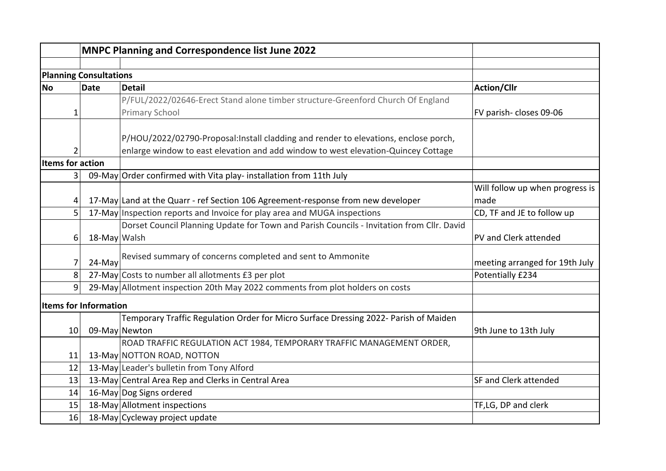|                               |              | <b>MNPC Planning and Correspondence list June 2022</b>                                    |                                 |  |  |
|-------------------------------|--------------|-------------------------------------------------------------------------------------------|---------------------------------|--|--|
|                               |              |                                                                                           |                                 |  |  |
| <b>Planning Consultations</b> |              |                                                                                           |                                 |  |  |
| <b>No</b>                     | <b>Date</b>  | <b>Detail</b>                                                                             | <b>Action/Cllr</b>              |  |  |
|                               |              | P/FUL/2022/02646-Erect Stand alone timber structure-Greenford Church Of England           |                                 |  |  |
| $\mathbf 1$                   |              | <b>Primary School</b>                                                                     | FV parish- closes 09-06         |  |  |
|                               |              | P/HOU/2022/02790-Proposal:Install cladding and render to elevations, enclose porch,       |                                 |  |  |
| 2                             |              | enlarge window to east elevation and add window to west elevation-Quincey Cottage         |                                 |  |  |
| <b>Items for action</b>       |              |                                                                                           |                                 |  |  |
| 3                             |              | 09-May Order confirmed with Vita play- installation from 11th July                        |                                 |  |  |
|                               |              |                                                                                           | Will follow up when progress is |  |  |
| 4                             |              | 17-May Land at the Quarr - ref Section 106 Agreement-response from new developer          | made                            |  |  |
| 5                             |              | 17-May Inspection reports and Invoice for play area and MUGA inspections                  | CD, TF and JE to follow up      |  |  |
|                               |              | Dorset Council Planning Update for Town and Parish Councils - Invitation from Cllr. David |                                 |  |  |
| 6                             | 18-May Walsh |                                                                                           | PV and Clerk attended           |  |  |
| 7                             | 24-May       | Revised summary of concerns completed and sent to Ammonite                                | meeting arranged for 19th July  |  |  |
| 8                             |              | 27-May Costs to number all allotments £3 per plot                                         | Potentially £234                |  |  |
| 9                             |              | 29-May Allotment inspection 20th May 2022 comments from plot holders on costs             |                                 |  |  |
| <b>Items for Information</b>  |              |                                                                                           |                                 |  |  |
|                               |              | Temporary Traffic Regulation Order for Micro Surface Dressing 2022- Parish of Maiden      |                                 |  |  |
| 10                            |              | 09-May Newton                                                                             | 9th June to 13th July           |  |  |
|                               |              | ROAD TRAFFIC REGULATION ACT 1984, TEMPORARY TRAFFIC MANAGEMENT ORDER,                     |                                 |  |  |
| 11                            |              | 13-May NOTTON ROAD, NOTTON                                                                |                                 |  |  |
| 12                            |              | 13-May Leader's bulletin from Tony Alford                                                 |                                 |  |  |
| 13                            |              | 13-May Central Area Rep and Clerks in Central Area                                        | <b>SF and Clerk attended</b>    |  |  |
| 14                            |              | 16-May Dog Signs ordered                                                                  |                                 |  |  |
| 15                            |              | 18-May Allotment inspections                                                              | TF,LG, DP and clerk             |  |  |
| 16                            |              | 18-May Cycleway project update                                                            |                                 |  |  |